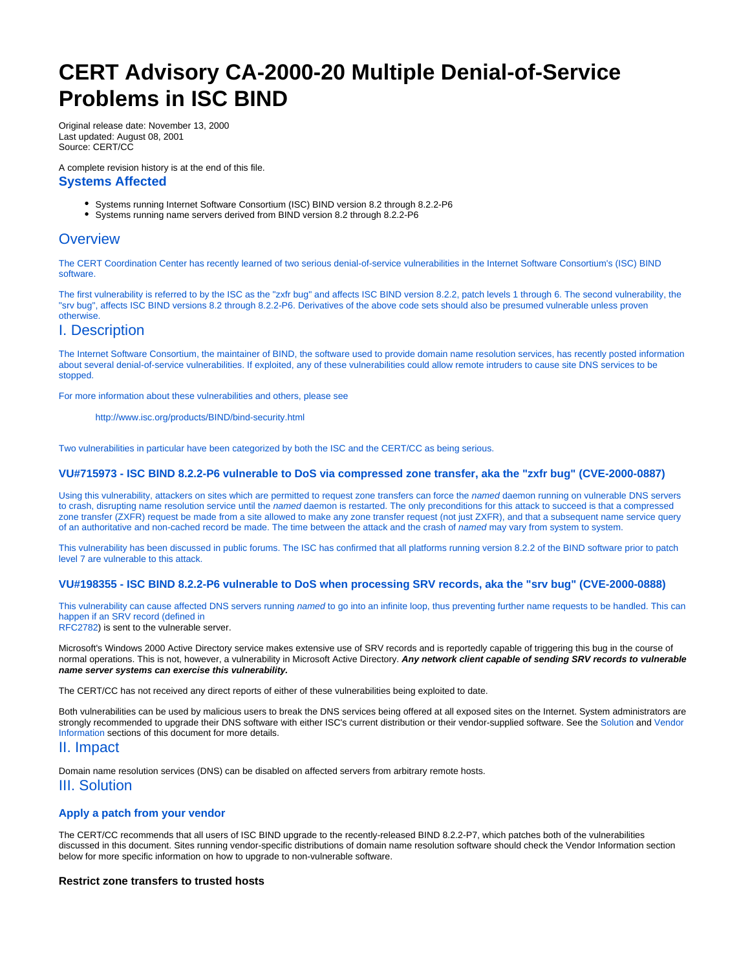# <span id="page-0-0"></span>**CERT Advisory CA-2000-20 Multiple Denial-of-Service Problems in ISC BIND**

Original release date: November 13, 2000 Last updated: August 08, 2001 Source: CERT/CC

A complete revision history is at the end of this file. **Systems Affected**

- Systems running Internet Software Consortium (ISC) BIND version 8.2 through 8.2.2-P6
- Systems running name servers derived from BIND version 8.2 through 8.2.2-P6

# **Overview**

The CERT Coordination Center has recently learned of two serious denial-of-service vulnerabilities in the Internet Software Consortium's (ISC) BIND software.

The first vulnerability is referred to by the ISC as the "zxfr bug" and affects ISC BIND version 8.2.2, patch levels 1 through 6. The second vulnerability, the "srv bug", affects ISC BIND versions 8.2 through 8.2.2-P6. Derivatives of the above code sets should also be presumed vulnerable unless proven otherwise.

# I. Description

The Internet Software Consortium, the maintainer of BIND, the software used to provide domain name resolution services, has recently posted information about several denial-of-service vulnerabilities. If exploited, any of these vulnerabilities could allow remote intruders to cause site DNS services to be stopped.

For more information about these vulnerabilities and others, please see

<http://www.isc.org/products/BIND/bind-security.html>

Two vulnerabilities in particular have been categorized by both the ISC and the CERT/CC as being serious.

### **[VU#715973](http://www.kb.cert.org/vuls/id/715973) - ISC BIND 8.2.2-P6 vulnerable to DoS via compressed zone transfer, aka the "zxfr bug" ([CVE-2000-0887](http://cve.mitre.org/cgi-bin/cvename.cgi?name=CVE-2000-0887))**

Using this vulnerability, attackers on sites which are permitted to request zone transfers can force the named daemon running on vulnerable DNS servers to crash, disrupting name resolution service until the named daemon is restarted. The only preconditions for this attack to succeed is that a compressed zone transfer (ZXFR) request be made from a site allowed to make any zone transfer request (not just ZXFR), and that a subsequent name service query of an authoritative and non-cached record be made. The time between the attack and the crash of named may vary from system to system.

This vulnerability has been discussed in public forums. The ISC has confirmed that all platforms running version 8.2.2 of the BIND software prior to patch level 7 are vulnerable to this attack.

### **[VU#198355](http://www.kb.cert.org/vuls/id/198355) - ISC BIND 8.2.2-P6 vulnerable to DoS when processing SRV records, aka the "srv bug" [\(CVE-2000-0888\)](http://cve.mitre.org/cgi-bin/cvename.cgi?name=CVE-2000-0888)**

This vulnerability can cause affected DNS servers running named to go into an infinite loop, thus preventing further name requests to be handled. This can happen if an SRV record (defined in [RFC2782](http://www.ietf.org/rfc/rfc2782.txt)) is sent to the vulnerable server.

Microsoft's Windows 2000 Active Directory service makes extensive use of SRV records and is reportedly capable of triggering this bug in the course of normal operations. This is not, however, a vulnerability in Microsoft Active Directory. **Any network client capable of sending SRV records to vulnerable name server systems can exercise this vulnerability.**

The CERT/CC has not received any direct reports of either of these vulnerabilities being exploited to date.

Both vulnerabilities can be used by malicious users to break the DNS services being offered at all exposed sites on the Internet. System administrators are strongly recommended to upgrade their DNS software with either ISC's current distribution or their vendor-supplied software. See the [Solution](#page-0-0) and Vendor [Information](#page-0-0) sections of this document for more details.

# II. Impact

Domain name resolution services (DNS) can be disabled on affected servers from arbitrary remote hosts.

# III. Solution

## **Apply a patch from your vendor**

The CERT/CC recommends that all users of ISC BIND upgrade to the recently-released BIND 8.2.2-P7, which patches both of the vulnerabilities discussed in this document. Sites running vendor-specific distributions of domain name resolution software should check the Vendor Information section below for more specific information on how to upgrade to non-vulnerable software.

## **Restrict zone transfers to trusted hosts**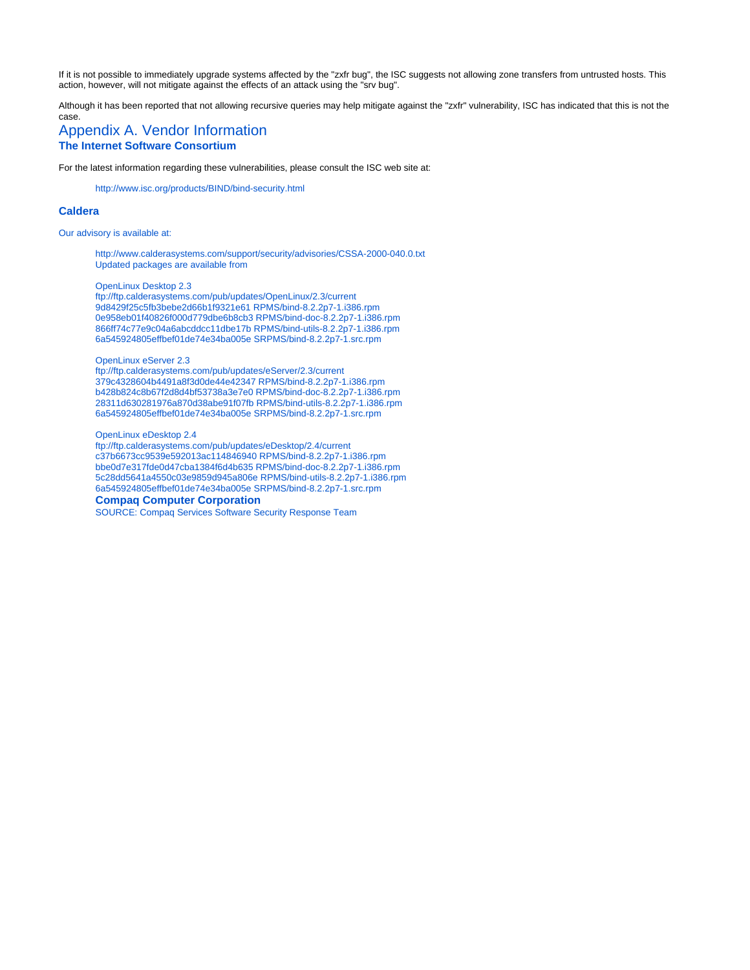If it is not possible to immediately upgrade systems affected by the "zxfr bug", the ISC suggests not allowing zone transfers from untrusted hosts. This action, however, will not mitigate against the effects of an attack using the "srv bug".

Although it has been reported that not allowing recursive queries may help mitigate against the "zxfr" vulnerability, ISC has indicated that this is not the case.

# Appendix A. Vendor Information **The Internet Software Consortium**

For the latest information regarding these vulnerabilities, please consult the ISC web site at:

<http://www.isc.org/products/BIND/bind-security.html>

# **Caldera**

Our advisory is available at:

<http://www.calderasystems.com/support/security/advisories/CSSA-2000-040.0.txt> Updated packages are available from

OpenLinux Desktop 2.3

<ftp://ftp.calderasystems.com/pub/updates/OpenLinux/2.3/current> 9d8429f25c5fb3bebe2d66b1f9321e61 RPMS/bind-8.2.2p7-1.i386.rpm 0e958eb01f40826f000d779dbe6b8cb3 RPMS/bind-doc-8.2.2p7-1.i386.rpm 866ff74c77e9c04a6abcddcc11dbe17b RPMS/bind-utils-8.2.2p7-1.i386.rpm 6a545924805effbef01de74e34ba005e SRPMS/bind-8.2.2p7-1.src.rpm

OpenLinux eServer 2.3

<ftp://ftp.calderasystems.com/pub/updates/eServer/2.3/current> 379c4328604b4491a8f3d0de44e42347 RPMS/bind-8.2.2p7-1.i386.rpm b428b824c8b67f2d8d4bf53738a3e7e0 RPMS/bind-doc-8.2.2p7-1.i386.rpm 28311d630281976a870d38abe91f07fb RPMS/bind-utils-8.2.2p7-1.i386.rpm 6a545924805effbef01de74e34ba005e SRPMS/bind-8.2.2p7-1.src.rpm

#### OpenLinux eDesktop 2.4

<ftp://ftp.calderasystems.com/pub/updates/eDesktop/2.4/current> c37b6673cc9539e592013ac114846940 RPMS/bind-8.2.2p7-1.i386.rpm bbe0d7e317fde0d47cba1384f6d4b635 RPMS/bind-doc-8.2.2p7-1.i386.rpm 5c28dd5641a4550c03e9859d945a806e RPMS/bind-utils-8.2.2p7-1.i386.rpm 6a545924805effbef01de74e34ba005e SRPMS/bind-8.2.2p7-1.src.rpm

#### **Compaq Computer Corporation**

SOURCE: Compaq Services Software Security Response Team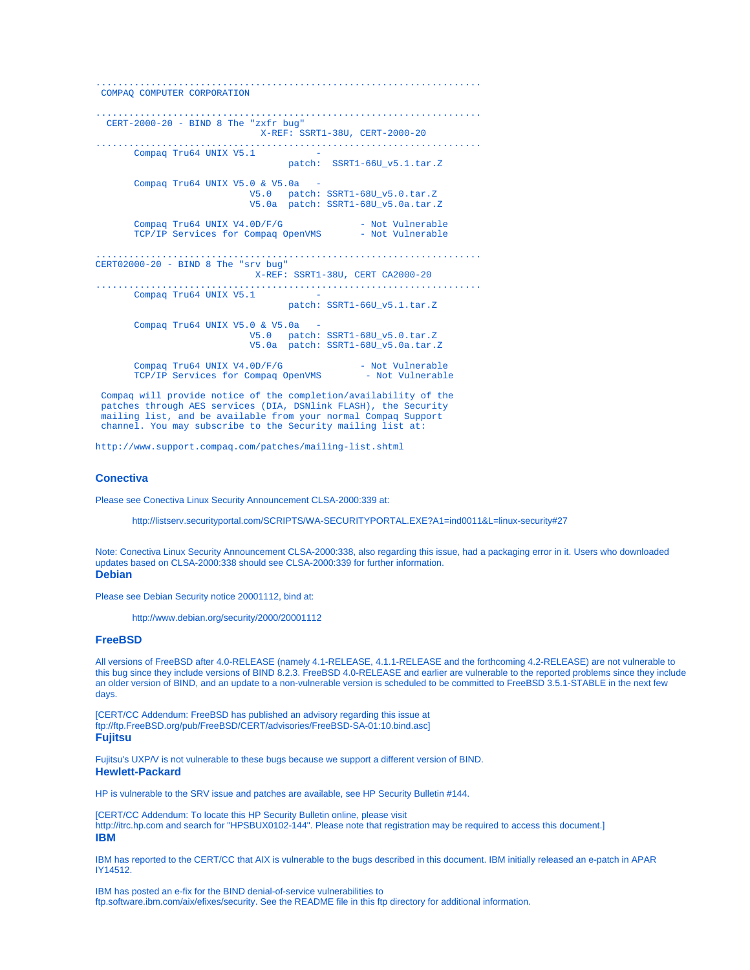```
......................................................................
 COMPAQ COMPUTER CORPORATION
                          ......................................................................
  CERT-2000-20 - BIND 8 The "zxfr bug" 
                                X-REF: SSRT1-38U, CERT-2000-20
......................................................................
      Compaq Tru64 UNIX V5.1
                                    patch: SSRT1-66U_v5.1.tar.Z 
        Compaq Tru64 UNIX V5.0 & V5.0a -
 V5.0 patch: SSRT1-68U_v5.0.tar.Z 
 V5.0a patch: SSRT1-68U_v5.0a.tar.Z 
       Compaq Tru64 UNIX V4.0D/F/G - Not Vulnerable<br>TCP/IP Services for Compaq OpenVMS - Not Vulnerable
       TCP/IP Services for Compaq OpenVMS
......................................................................
CERT02000-20 - BIND 8 The "srv bug" 
                              X-REF: SSRT1-38U, CERT CA2000-20
......................................................................
      Compaq Tru64 UNIX V5.1
                                     patch: SSRT1-66U_v5.1.tar.Z 
        Compaq Tru64 UNIX V5.0 & V5.0a -
 V5.0 patch: SSRT1-68U_v5.0.tar.Z 
 V5.0a patch: SSRT1-68U_v5.0a.tar.Z 
       Compaq Tru64 UNIX V4.0D/F/G - Not Vulnerable<br>
TCP/ID Services for Compaq OpenVMS - Not Vulnerable
       TCP/IP Services for Compaq OpenVMS
```
 Compaq will provide notice of the completion/availability of the patches through AES services (DIA, DSNlink FLASH), the Security mailing list, and be available from your normal Compaq Support channel. You may subscribe to the Security mailing list at:

<http://www.support.compaq.com/patches/mailing-list.shtml>

# **Conectiva**

Please see Conectiva Linux Security Announcement CLSA-2000:339 at:

<http://listserv.securityportal.com/SCRIPTS/WA-SECURITYPORTAL.EXE?A1=ind0011&L=linux-security#27>

Note: Conectiva Linux Security Announcement CLSA-2000:338, also regarding this issue, had a packaging error in it. Users who downloaded updates based on CLSA-2000:338 should see CLSA-2000:339 for further information. **Debian**

Please see Debian Security notice 20001112, bind at:

<http://www.debian.org/security/2000/20001112>

### **FreeBSD**

All versions of FreeBSD after 4.0-RELEASE (namely 4.1-RELEASE, 4.1.1-RELEASE and the forthcoming 4.2-RELEASE) are not vulnerable to this bug since they include versions of BIND 8.2.3. FreeBSD 4.0-RELEASE and earlier are vulnerable to the reported problems since they include an older version of BIND, and an update to a non-vulnerable version is scheduled to be committed to FreeBSD 3.5.1-STABLE in the next few days.

[CERT/CC Addendum: FreeBSD has published an advisory regarding this issue at <ftp://ftp.FreeBSD.org/pub/FreeBSD/CERT/advisories/FreeBSD-SA-01:10.bind.asc>] **Fujitsu**

Fujitsu's UXP/V is not vulnerable to these bugs because we support a different version of BIND. **Hewlett-Packard**

HP is vulnerable to the SRV issue and patches are available, see HP Security Bulletin #144.

[CERT/CC Addendum: To locate this HP Security Bulletin online, please visit <http://itrc.hp.com> and search for "HPSBUX0102-144". Please note that registration may be required to access this document.] **IBM**

IBM has reported to the CERT/CC that AIX is vulnerable to the bugs described in this document. IBM initially released an e-patch in APAR IY14512.

IBM has posted an e-fix for the BIND denial-of-service vulnerabilities to [ftp.software.ibm.com/aix/efixes/security](ftp://aix.software.ibm.com/aix/efixes/security/named8_DoS_efix.tar.Z). See the [README](ftp://aix.software.ibm.com/aix/efixes/security/README) file in this ftp directory for additional information.